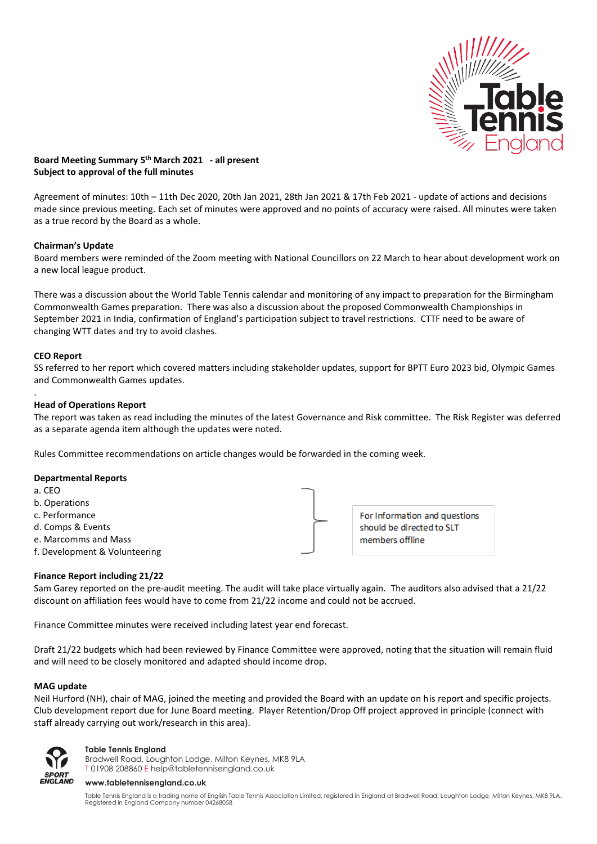

# **Board Meeting Summary 5 th March 2021 - all present Subject to approval of the full minutes**

Agreement of minutes: 10th – 11th Dec 2020, 20th Jan 2021, 28th Jan 2021 & 17th Feb 2021 - update of actions and decisions made since previous meeting. Each set of minutes were approved and no points of accuracy were raised. All minutes were taken as a true record by the Board as a whole.

## **Chairman's Update**

Board members were reminded of the Zoom meeting with National Councillors on 22 March to hear about development work on a new local league product.

There was a discussion about the World Table Tennis calendar and monitoring of any impact to preparation for the Birmingham Commonwealth Games preparation. There was also a discussion about the proposed Commonwealth Championships in September 2021 in India, confirmation of England's participation subject to travel restrictions. CTTF need to be aware of changing WTT dates and try to avoid clashes.

# **CEO Report**

SS referred to her report which covered matters including stakeholder updates, support for BPTT Euro 2023 bid, Olympic Games and Commonwealth Games updates.

#### . **Head of Operations Report**

The report was taken as read including the minutes of the latest Governance and Risk committee. The Risk Register was deferred as a separate agenda item although the updates were noted.

Rules Committee recommendations on article changes would be forwarded in the coming week.

## **Departmental Reports**

- a. CEO
- b. Operations
- c. Performance
- d. Comps & Events
- e. Marcomms and Mass
- f. Development & Volunteering



For Information and questions should be directed to SLT members offline

## **Finance Report including 21/22**

Sam Garey reported on the pre-audit meeting. The audit will take place virtually again. The auditors also advised that a 21/22 discount on affiliation fees would have to come from 21/22 income and could not be accrued.

Finance Committee minutes were received including latest year end forecast.

Draft 21/22 budgets which had been reviewed by Finance Committee were approved, noting that the situation will remain fluid and will need to be closely monitored and adapted should income drop.

## **MAG update**

Neil Hurford (NH), chair of MAG, joined the meeting and provided the Board with an update on his report and specific projects. Club development report due for June Board meeting. Player Retention/Drop Off project approved in principle (connect with staff already carrying out work/research in this area).



### **Table Tennis England**

Bradwell Road, Loughton Lodge, Milton Keynes, MK8 9LA T 01908 208860 [E help@tabletennisengland.co.uk](mailto:help@tabletennisengland.co.uk)

#### **[www.tabletennisengland.co.uk](http://www.tabletennisengland.co.uk/)**

Table Tennis England is a trading name of English Table Tennis Association Limited, registered in England at Bradwell Road, Loughton Lodge, Milton Keynes, MK8 9LA. Registered in England Company number 04268058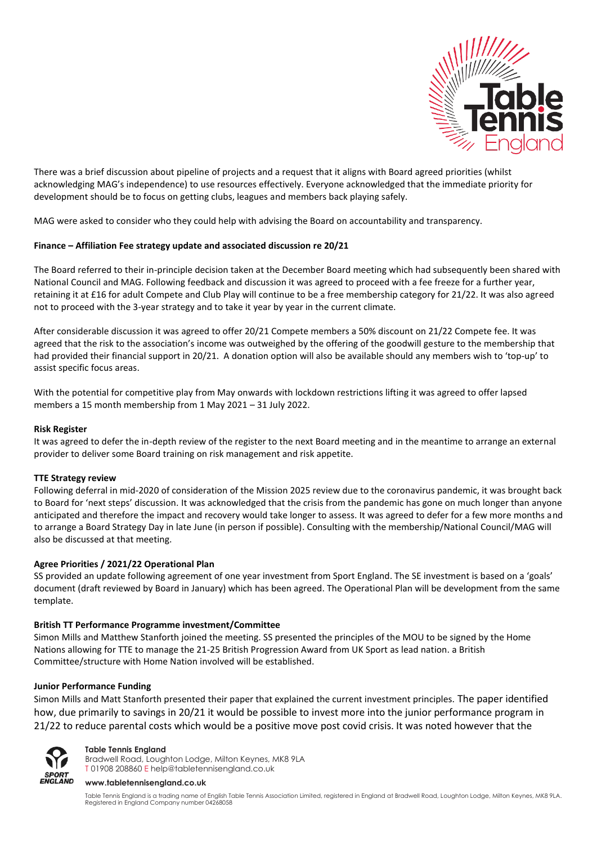

There was a brief discussion about pipeline of projects and a request that it aligns with Board agreed priorities (whilst acknowledging MAG's independence) to use resources effectively. Everyone acknowledged that the immediate priority for development should be to focus on getting clubs, leagues and members back playing safely.

MAG were asked to consider who they could help with advising the Board on accountability and transparency.

## **Finance – Affiliation Fee strategy update and associated discussion re 20/21**

The Board referred to their in-principle decision taken at the December Board meeting which had subsequently been shared with National Council and MAG. Following feedback and discussion it was agreed to proceed with a fee freeze for a further year, retaining it at £16 for adult Compete and Club Play will continue to be a free membership category for 21/22. It was also agreed not to proceed with the 3-year strategy and to take it year by year in the current climate.

After considerable discussion it was agreed to offer 20/21 Compete members a 50% discount on 21/22 Compete fee. It was agreed that the risk to the association's income was outweighed by the offering of the goodwill gesture to the membership that had provided their financial support in 20/21. A donation option will also be available should any members wish to 'top-up' to assist specific focus areas.

With the potential for competitive play from May onwards with lockdown restrictions lifting it was agreed to offer lapsed members a 15 month membership from 1 May 2021 – 31 July 2022.

#### **Risk Register**

It was agreed to defer the in-depth review of the register to the next Board meeting and in the meantime to arrange an external provider to deliver some Board training on risk management and risk appetite.

#### **TTE Strategy review**

Following deferral in mid-2020 of consideration of the Mission 2025 review due to the coronavirus pandemic, it was brought back to Board for 'next steps' discussion. It was acknowledged that the crisis from the pandemic has gone on much longer than anyone anticipated and therefore the impact and recovery would take longer to assess. It was agreed to defer for a few more months and to arrange a Board Strategy Day in late June (in person if possible). Consulting with the membership/National Council/MAG will also be discussed at that meeting.

#### **Agree Priorities / 2021/22 Operational Plan**

SS provided an update following agreement of one year investment from Sport England. The SE investment is based on a 'goals' document (draft reviewed by Board in January) which has been agreed. The Operational Plan will be development from the same template.

#### **British TT Performance Programme investment/Committee**

Simon Mills and Matthew Stanforth joined the meeting. SS presented the principles of the MOU to be signed by the Home Nations allowing for TTE to manage the 21-25 British Progression Award from UK Sport as lead nation. a British Committee/structure with Home Nation involved will be established.

### **Junior Performance Funding**

Simon Mills and Matt Stanforth presented their paper that explained the current investment principles. The paper identified how, due primarily to savings in 20/21 it would be possible to invest more into the junior performance program in 21/22 to reduce parental costs which would be a positive move post covid crisis. It was noted however that the



**Table Tennis England**

Bradwell Road, Loughton Lodge, Milton Keynes, MK8 9LA T 01908 208860 [E help@tabletennisengland.co.uk](mailto:help@tabletennisengland.co.uk)

#### **[www.tabletennisengland.co.uk](http://www.tabletennisengland.co.uk/)**

Table Tennis England is a trading name of English Table Tennis Association Limited, registered in England at Bradwell Road, Loughton Lodge, Milton Keynes, MK8 9LA. Registered in England Company number 04268058